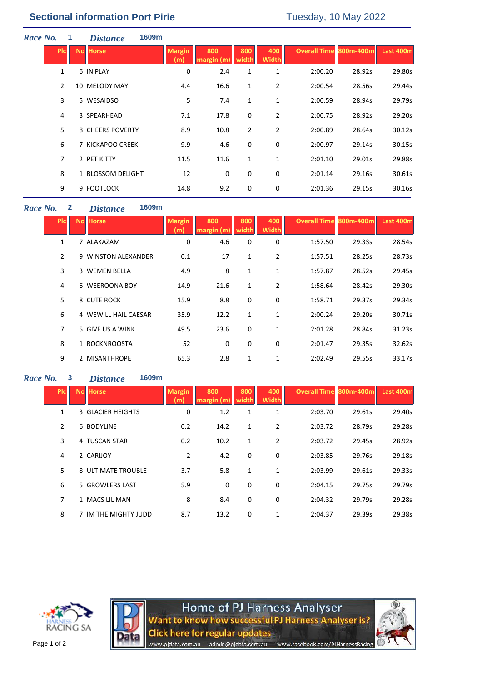| Race No. | 1            | <i>Distance</i>   | 1609m |                      |                   |                |                     |                               |        |           |
|----------|--------------|-------------------|-------|----------------------|-------------------|----------------|---------------------|-------------------------------|--------|-----------|
|          | <b>PIC</b>   | <b>No Horse</b>   |       | <b>Margin</b><br>(m) | 800<br>margin (m) | 800<br>width   | 400<br><b>Width</b> | <b>Overall Time 800m-400m</b> |        | Last 400m |
|          | $\mathbf{1}$ | 6 IN PLAY         |       | 0                    | 2.4               | $\mathbf{1}$   | 1                   | 2:00.20                       | 28.92s | 29.80s    |
|          | 2            | 10 MELODY MAY     |       | 4.4                  | 16.6              | $\mathbf{1}$   | $\overline{2}$      | 2:00.54                       | 28.56s | 29.44s    |
|          | 3            | 5 WESAIDSO        |       | 5                    | 7.4               | $\mathbf{1}$   | 1                   | 2:00.59                       | 28.94s | 29.79s    |
|          | 4            | 3 SPEARHEAD       |       | 7.1                  | 17.8              | 0              | 2                   | 2:00.75                       | 28.92s | 29.20s    |
|          | 5.           | 8 CHEERS POVERTY  |       | 8.9                  | 10.8              | $\overline{2}$ | $\overline{2}$      | 2:00.89                       | 28.64s | 30.12s    |
|          | 6            | 7 KICKAPOO CREEK  |       | 9.9                  | 4.6               | 0              | 0                   | 2:00.97                       | 29.14s | 30.15s    |
|          | 7            | 2 PET KITTY       |       | 11.5                 | 11.6              | $\mathbf{1}$   | 1                   | 2:01.10                       | 29.01s | 29.88s    |
|          | 8            | 1 BLOSSOM DELIGHT |       | 12                   | $\mathbf 0$       | 0              | 0                   | 2:01.14                       | 29.16s | 30.61s    |
|          | 9            | 9 FOOTLOCK        |       | 14.8                 | 9.2               | 0              | 0                   | 2:01.36                       | 29.15s | 30.16s    |

## *Race No.* **2** *Distance* **1609m**

| <b>PIC</b>     | <b>No Horse</b> |                      | <b>Margin</b><br>(m) | 800<br>margin (m | 800<br><b>width</b> | 400<br>Width | <b>Overall Time 800m-400m</b> |        | Last 400m |
|----------------|-----------------|----------------------|----------------------|------------------|---------------------|--------------|-------------------------------|--------|-----------|
| $\mathbf{1}$   |                 | 7 ALAKAZAM           | 0                    | 4.6              | 0                   | 0            | 1:57.50                       | 29.33s | 28.54s    |
| $\overline{2}$ |                 | 9 WINSTON ALEXANDER  | 0.1                  | 17               | 1                   | 2            | 1:57.51                       | 28.25s | 28.73s    |
| 3              |                 | 3 WEMEN BELLA        | 4.9                  | 8                | 1                   | 1            | 1:57.87                       | 28.52s | 29.45s    |
| 4              |                 | 6 WEEROONA BOY       | 14.9                 | 21.6             | 1                   | 2            | 1:58.64                       | 28.42s | 29.30s    |
| 5              |                 | 8 CUTE ROCK          | 15.9                 | 8.8              | 0                   | 0            | 1:58.71                       | 29.37s | 29.34s    |
| 6              |                 | 4 WEWILL HAIL CAESAR | 35.9                 | 12.2             | 1                   | 1            | 2:00.24                       | 29.20s | 30.71s    |
| $\overline{7}$ |                 | 5 GIVE US A WINK     | 49.5                 | 23.6             | 0                   | $\mathbf{1}$ | 2:01.28                       | 28.84s | 31.23s    |
| 8              |                 | 1 ROCKNROOSTA        | 52                   | 0                | 0                   | 0            | 2:01.47                       | 29.35s | 32.62s    |
| 9              |                 | 2 MISANTHROPE        | 65.3                 | 2.8              | 1                   | 1            | 2:02.49                       | 29.55s | 33.17s    |

## *Race No.* **3** *Distance* **1609m**

| <b>PIC</b>     | <b>No Horse</b>    | <b>Margin</b><br>m | 800  | 800<br>width | 400<br><b>Width</b> | Overall Time 800m-400m |        | Last 400m |
|----------------|--------------------|--------------------|------|--------------|---------------------|------------------------|--------|-----------|
| 1              | 3 GLACIER HEIGHTS  | 0                  | 1.2  | 1            | $\mathbf{1}$        | 2:03.70                | 29.61s | 29.40s    |
| $\overline{2}$ | 6 BODYLINE         | 0.2                | 14.2 | 1            | $\overline{2}$      | 2:03.72                | 28.79s | 29.28s    |
| 3              | 4 TUSCAN STAR      | 0.2                | 10.2 | 1            | $\overline{2}$      | 2:03.72                | 29.45s | 28.92s    |
| 4              | 2 CARIJOY          | $\overline{2}$     | 4.2  | $\mathbf 0$  | 0                   | 2:03.85                | 29.76s | 29.18s    |
| 5              | 8 ULTIMATE TROUBLE | 3.7                | 5.8  | 1            | $\mathbf{1}$        | 2:03.99                | 29.61s | 29.33s    |
| 6              | 5 GROWLERS LAST    | 5.9                | 0    | 0            | 0                   | 2:04.15                | 29.75s | 29.79s    |
| 7              | 1 MACS LIL MAN     | 8                  | 8.4  | 0            | 0                   | 2:04.32                | 29.79s | 29.28s    |
| 8              | IM THE MIGHTY JUDD | 8.7                | 13.2 | 0            | $\mathbf{1}$        | 2:04.37                | 29.39s | 29.38s    |





Home of PJ Harness Analyser<br>Want to know how successful PJ Harness Analyser is? Click here for regular updates<br>www.pjdata.com.au admin@pjdata.com.au www.facebook.com/PJHarnessRacing